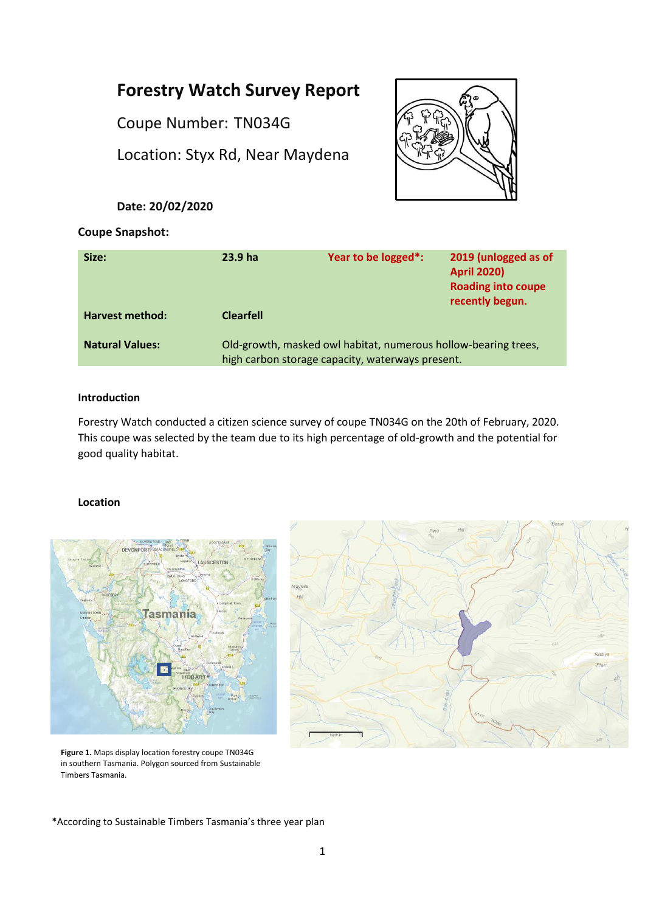# **Forestry Watch Survey Report**

Coupe Number: TN034G

Location: Styx Rd, Near Maydena

# **Date: 20/02/2020**



# **Coupe Snapshot:**

| Size:                  | 23.9 <sub>ha</sub>                                                                                                 | Year to be logged*: | 2019 (unlogged as of<br><b>April 2020)</b><br><b>Roading into coupe</b><br>recently begun. |
|------------------------|--------------------------------------------------------------------------------------------------------------------|---------------------|--------------------------------------------------------------------------------------------|
| Harvest method:        | <b>Clearfell</b>                                                                                                   |                     |                                                                                            |
| <b>Natural Values:</b> | Old-growth, masked owl habitat, numerous hollow-bearing trees,<br>high carbon storage capacity, waterways present. |                     |                                                                                            |

#### **Introduction**

Forestry Watch conducted a citizen science survey of coupe TN034G on the 20th of February, 2020. This coupe was selected by the team due to its high percentage of old-growth and the potential for good quality habitat.

## **Location**





**Figure 1.** Maps display location forestry coupe TN034G in southern Tasmania. Polygon sourced from Sustainable Timbers Tasmania.

\*According to Sustainable Timbers Tasmania's three year plan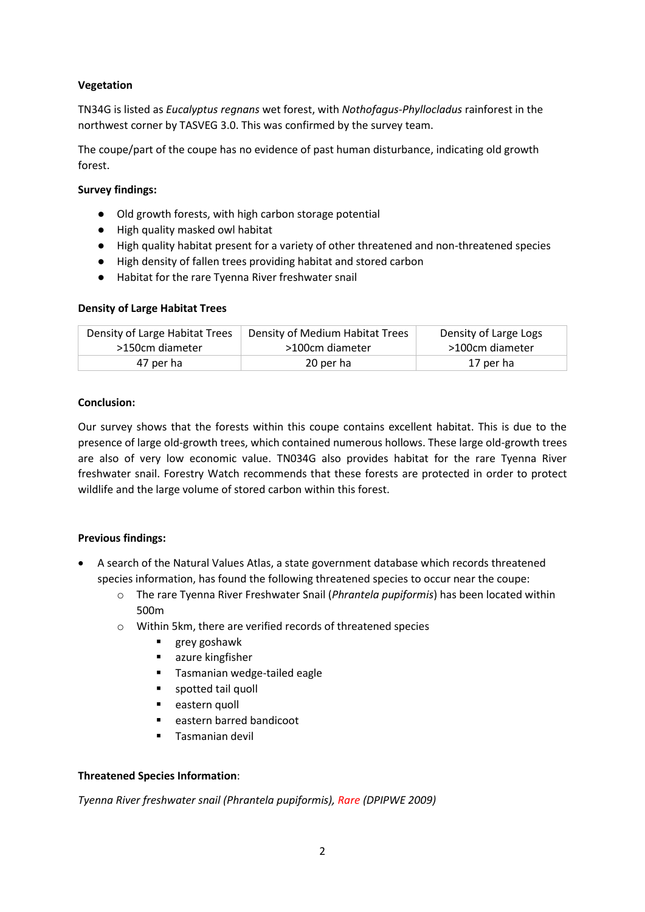# **Vegetation**

TN34G is listed as *Eucalyptus regnans* wet forest, with *Nothofagus-Phyllocladus* rainforest in the northwest corner by TASVEG 3.0. This was confirmed by the survey team.

The coupe/part of the coupe has no evidence of past human disturbance, indicating old growth forest.

# **Survey findings:**

- Old growth forests, with high carbon storage potential
- High quality masked owl habitat
- High quality habitat present for a variety of other threatened and non-threatened species
- High density of fallen trees providing habitat and stored carbon
- Habitat for the rare Tyenna River freshwater snail

#### **Density of Large Habitat Trees**

| Density of Large Habitat Trees | Density of Medium Habitat Trees | Density of Large Logs |
|--------------------------------|---------------------------------|-----------------------|
| >150cm diameter                | >100cm diameter                 | >100cm diameter       |
| 47 per ha                      | 20 per ha                       | 17 per ha             |

#### **Conclusion:**

Our survey shows that the forests within this coupe contains excellent habitat. This is due to the presence of large old-growth trees, which contained numerous hollows. These large old-growth trees are also of very low economic value. TN034G also provides habitat for the rare Tyenna River freshwater snail. Forestry Watch recommends that these forests are protected in order to protect wildlife and the large volume of stored carbon within this forest.

## **Previous findings:**

- A search of the Natural Values Atlas, a state government database which records threatened species information, has found the following threatened species to occur near the coupe:
	- o The rare Tyenna River Freshwater Snail (*Phrantela pupiformis*) has been located within 500m
	- o Within 5km, there are verified records of threatened species
		- **grey goshawk**
		- azure kingfisher
		- **Tasmanian wedge-tailed eagle**
		- **spotted tail quoll**
		- **eastern quoll**
		- eastern barred bandicoot
		- Tasmanian devil

## **Threatened Species Information**:

*Tyenna River freshwater snail (Phrantela pupiformis), Rare (DPIPWE 2009)*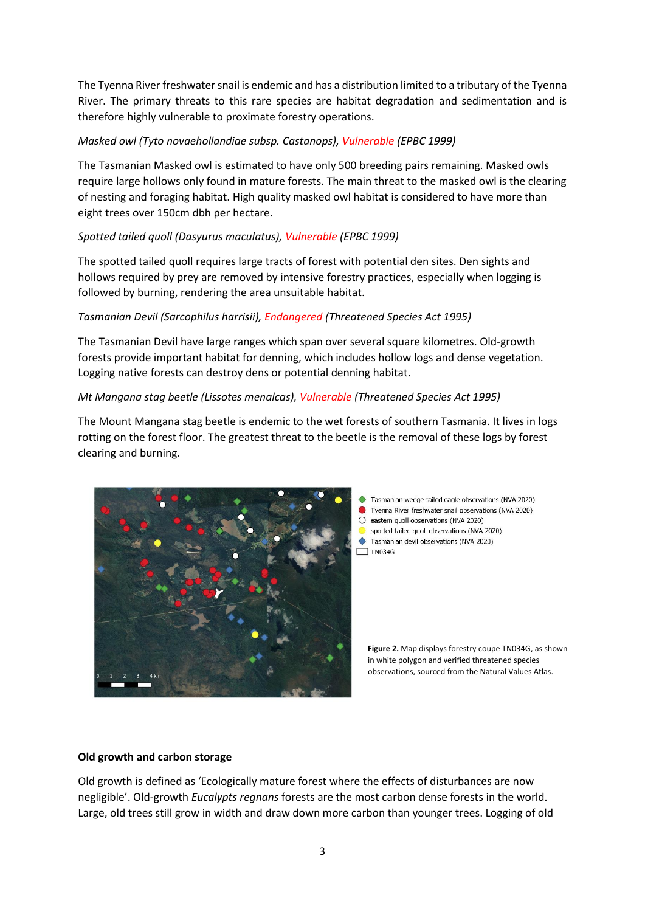The Tyenna River freshwater snail is endemic and has a distribution limited to a tributary of the Tyenna River. The primary threats to this rare species are habitat degradation and sedimentation and is therefore highly vulnerable to proximate forestry operations.

# *Masked owl (Tyto novaehollandiae subsp. Castanops), Vulnerable (EPBC 1999)*

The Tasmanian Masked owl is estimated to have only 500 breeding pairs remaining. Masked owls require large hollows only found in mature forests. The main threat to the masked owl is the clearing of nesting and foraging habitat. High quality masked owl habitat is considered to have more than eight trees over 150cm dbh per hectare.

# *Spotted tailed quoll (Dasyurus maculatus), Vulnerable (EPBC 1999)*

The spotted tailed quoll requires large tracts of forest with potential den sites. Den sights and hollows required by prey are removed by intensive forestry practices, especially when logging is followed by burning, rendering the area unsuitable habitat.

# *Tasmanian Devil (Sarcophilus harrisii), Endangered (Threatened Species Act 1995)*

The Tasmanian Devil have large ranges which span over several square kilometres. Old-growth forests provide important habitat for denning, which includes hollow logs and dense vegetation. Logging native forests can destroy dens or potential denning habitat.

## *Mt Mangana stag beetle (Lissotes menalcas), Vulnerable (Threatened Species Act 1995)*

The Mount Mangana stag beetle is endemic to the wet forests of southern Tasmania. It lives in logs rotting on the forest floor. The greatest threat to the beetle is the removal of these logs by forest clearing and burning.



- Tasmanian wedge-tailed eagle observations (NVA 2020) Tyenna River freshwater snail observations (NVA 2020)
- $O$  eastern quoll observations (NVA 2020)
- spotted tailed quoll observations (NVA 2020)
- Tasmanian devil observations (NVA 2020)  $\Box$ TN034G

**Figure 2.** Map displays forestry coupe TN034G, as shown in white polygon and verified threatened species observations, sourced from the Natural Values Atlas.

## **Old growth and carbon storage**

Old growth is defined as 'Ecologically mature forest where the effects of disturbances are now negligible'. Old-growth *Eucalypts regnans* forests are the most carbon dense forests in the world. Large, old trees still grow in width and draw down more carbon than younger trees. Logging of old